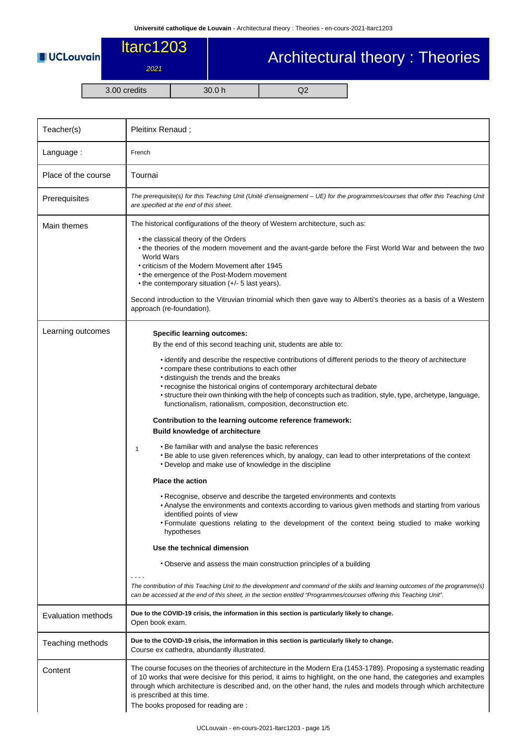**UCLouvain** 

## ltarc1203 2021

## Architectural theory : Theories

3.00 credits 30.0 h Q2

| Teacher(s)                | Pleitinx Renaud;                                                                                                                                                                                                                                                                                                                                                                                                                                                                                                                                                                                                                                                                                                                                                                                                                                                                                                                                                                                                                                                                                                                                                                                                                                                       |  |  |  |  |
|---------------------------|------------------------------------------------------------------------------------------------------------------------------------------------------------------------------------------------------------------------------------------------------------------------------------------------------------------------------------------------------------------------------------------------------------------------------------------------------------------------------------------------------------------------------------------------------------------------------------------------------------------------------------------------------------------------------------------------------------------------------------------------------------------------------------------------------------------------------------------------------------------------------------------------------------------------------------------------------------------------------------------------------------------------------------------------------------------------------------------------------------------------------------------------------------------------------------------------------------------------------------------------------------------------|--|--|--|--|
| Language:                 | French                                                                                                                                                                                                                                                                                                                                                                                                                                                                                                                                                                                                                                                                                                                                                                                                                                                                                                                                                                                                                                                                                                                                                                                                                                                                 |  |  |  |  |
| Place of the course       | Tournai                                                                                                                                                                                                                                                                                                                                                                                                                                                                                                                                                                                                                                                                                                                                                                                                                                                                                                                                                                                                                                                                                                                                                                                                                                                                |  |  |  |  |
| Prerequisites             | The prerequisite(s) for this Teaching Unit (Unité d'enseignement – UE) for the programmes/courses that offer this Teaching Unit<br>are specified at the end of this sheet.                                                                                                                                                                                                                                                                                                                                                                                                                                                                                                                                                                                                                                                                                                                                                                                                                                                                                                                                                                                                                                                                                             |  |  |  |  |
| Main themes               | The historical configurations of the theory of Western architecture, such as:<br>• the classical theory of the Orders<br>• the theories of the modern movement and the avant-garde before the First World War and between the two<br><b>World Wars</b><br>• criticism of the Modern Movement after 1945<br>• the emergence of the Post-Modern movement<br>• the contemporary situation $(+/- 5$ last years).<br>Second introduction to the Vitruvian trinomial which then gave way to Alberti's theories as a basis of a Western<br>approach (re-foundation).                                                                                                                                                                                                                                                                                                                                                                                                                                                                                                                                                                                                                                                                                                          |  |  |  |  |
| Learning outcomes         | <b>Specific learning outcomes:</b><br>By the end of this second teaching unit, students are able to:<br>• identify and describe the respective contributions of different periods to the theory of architecture<br>• compare these contributions to each other<br>· distinguish the trends and the breaks<br>• recognise the historical origins of contemporary architectural debate<br>• structure their own thinking with the help of concepts such as tradition, style, type, archetype, language,<br>functionalism, rationalism, composition, deconstruction etc.<br>Contribution to the learning outcome reference framework:<br><b>Build knowledge of architecture</b><br>. Be familiar with and analyse the basic references<br>1<br>. Be able to use given references which, by analogy, can lead to other interpretations of the context<br>• Develop and make use of knowledge in the discipline<br><b>Place the action</b><br>. Recognise, observe and describe the targeted environments and contexts<br>• Analyse the environments and contexts according to various given methods and starting from various<br>identified points of view<br>• Formulate questions relating to the development of the context being studied to make working<br>hypotheses |  |  |  |  |
|                           | Use the technical dimension<br>• Observe and assess the main construction principles of a building<br>The contribution of this Teaching Unit to the development and command of the skills and learning outcomes of the programme(s)<br>can be accessed at the end of this sheet, in the section entitled "Programmes/courses offering this Teaching Unit".                                                                                                                                                                                                                                                                                                                                                                                                                                                                                                                                                                                                                                                                                                                                                                                                                                                                                                             |  |  |  |  |
| <b>Evaluation methods</b> | Due to the COVID-19 crisis, the information in this section is particularly likely to change.<br>Open book exam.                                                                                                                                                                                                                                                                                                                                                                                                                                                                                                                                                                                                                                                                                                                                                                                                                                                                                                                                                                                                                                                                                                                                                       |  |  |  |  |
| Teaching methods          | Due to the COVID-19 crisis, the information in this section is particularly likely to change.<br>Course ex cathedra, abundantly illustrated.                                                                                                                                                                                                                                                                                                                                                                                                                                                                                                                                                                                                                                                                                                                                                                                                                                                                                                                                                                                                                                                                                                                           |  |  |  |  |
| Content                   | The course focuses on the theories of architecture in the Modern Era (1453-1789). Proposing a systematic reading<br>of 10 works that were decisive for this period, it aims to highlight, on the one hand, the categories and examples<br>through which architecture is described and, on the other hand, the rules and models through which architecture<br>is prescribed at this time.<br>The books proposed for reading are:                                                                                                                                                                                                                                                                                                                                                                                                                                                                                                                                                                                                                                                                                                                                                                                                                                        |  |  |  |  |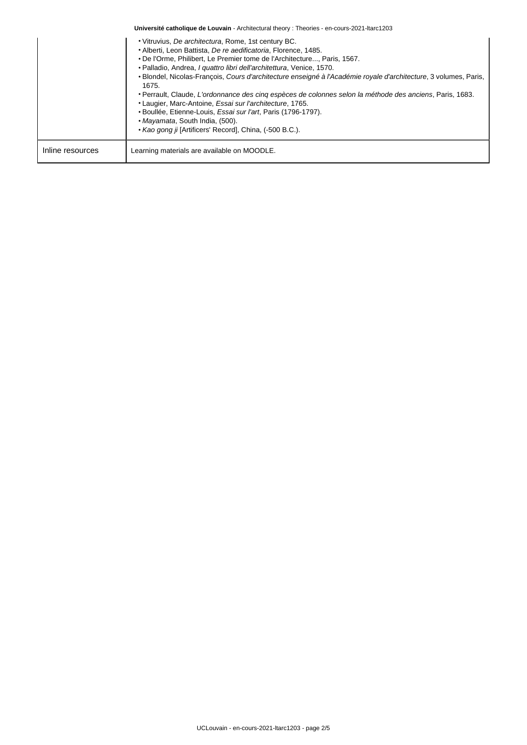| Université catholique de Louvain - Architectural theory : Theories - en-cours-2021-Itarc1203 |                                                                                                                                                                                                                                                                                                                                                                                                                                                                                                                                                                                                                                                                                                                                              |  |  |  |  |
|----------------------------------------------------------------------------------------------|----------------------------------------------------------------------------------------------------------------------------------------------------------------------------------------------------------------------------------------------------------------------------------------------------------------------------------------------------------------------------------------------------------------------------------------------------------------------------------------------------------------------------------------------------------------------------------------------------------------------------------------------------------------------------------------------------------------------------------------------|--|--|--|--|
|                                                                                              | • Vitruvius, De architectura, Rome, 1st century BC.<br>• Alberti, Leon Battista, De re aedificatoria, Florence, 1485.<br>. De l'Orme, Philibert, Le Premier tome de l'Architecture, Paris, 1567.<br>• Palladio, Andrea, I quattro libri dell'architettura, Venice, 1570.<br>• Blondel, Nicolas-Francois, Cours d'architecture enseigné à l'Académie royale d'architecture, 3 volumes, Paris,<br>1675.<br>• Perrault, Claude, L'ordonnance des cinq espèces de colonnes selon la méthode des anciens, Paris, 1683.<br>• Laugier, Marc-Antoine, Essai sur l'architecture, 1765.<br>• Boullée, Etienne-Louis, Essai sur l'art, Paris (1796-1797).<br>• Mayamata, South India, (500).<br>• Kao gong ji [Artificers' Record], China, (-500 B.C.). |  |  |  |  |
| Inline resources                                                                             | Learning materials are available on MOODLE.                                                                                                                                                                                                                                                                                                                                                                                                                                                                                                                                                                                                                                                                                                  |  |  |  |  |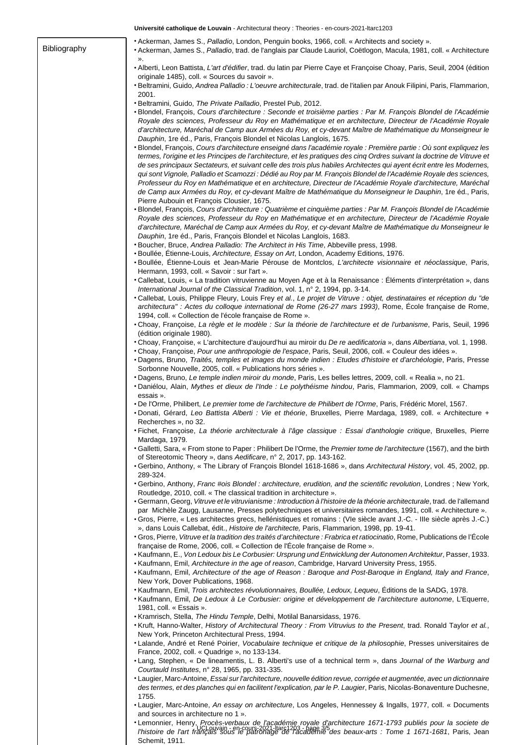**Université catholique de Louvain** - Architectural theory : Theories - en-cours-2021-ltarc1203 Bibliography • Ackerman, James S., Palladio, London, Penguin books, 1966, coll. « Architects and society ». • Ackerman, James S., Palladio, trad. de l'anglais par Claude Lauriol, Coëtlogon, Macula, 1981, coll. « Architecture ». • Alberti, Leon Battista, L'art d'édifier, trad. du latin par Pierre Caye et Françoise Choay, Paris, Seuil, 2004 (édition originale 1485), coll. « Sources du savoir ». • Beltramini, Guido, Andrea Palladio : L'oeuvre architecturale, trad. de l'italien par Anouk Filipini, Paris, Flammarion, 2001. • Beltramini, Guido, The Private Palladio, Prestel Pub, 2012. • Blondel, François, Cours d'architecture : Seconde et troisième parties : Par M. François Blondel de l'Académie Royale des sciences, Professeur du Roy en Mathématique et en architecture, Directeur de l'Académie Royale d'architecture, Maréchal de Camp aux Armées du Roy, et cy-devant Maître de Mathématique du Monseigneur le Dauphin, 1re éd., Paris, François Blondel et Nicolas Langlois, 1675. • Blondel, François, Cours d'architecture enseigné dans l'académie royale : Première partie : Où sont expliquez les termes, l'origine et les Principes de l'architecture, et les pratiques des cinq Ordres suivant la doctrine de Vitruve et de ses principaux Sectateurs, et suivant celle des trois plus habiles Architectes qui ayent écrit entre les Modernes, qui sont Vignole, Palladio et Scamozzi : Dédié au Roy par M. François Blondel de l'Académie Royale des sciences, Professeur du Roy en Mathématique et en architecture, Directeur de l'Académie Royale d'architecture, Maréchal de Camp aux Armées du Roy, et cy-devant Maître de Mathématique du Monseigneur le Dauphin, 1re éd., Paris, Pierre Aubouin et François Clousier, 1675. • Blondel, François, Cours d'architecture : Quatrième et cinquième parties : Par M. François Blondel de l'Académie

Royale des sciences, Professeur du Roy en Mathématique et en architecture, Directeur de l'Académie Royale d'architecture, Maréchal de Camp aux Armées du Roy, et cy-devant Maître de Mathématique du Monseigneur le Dauphin, 1re éd., Paris, François Blondel et Nicolas Langlois, 1683.

- Boucher, Bruce, Andrea Palladio: The Architect in His Time, Abbeville press, 1998.
- Boullée, Étienne-Louis, Architecture, Essay on Art, London, Academy Editions, 1976.
- Boullée, Étienne-Louis et Jean-Marie Pérouse de Montclos, L'architecte visionnaire et néoclassique, Paris, Hermann, 1993, coll. « Savoir : sur l'art ».
- Callebat, Louis, « La tradition vitruvienne au Moyen Age et à la Renaissance : Éléments d'interprétation », dans International Journal of the Classical Tradition, vol. 1, n° 2, 1994, pp. 3-14.
- Callebat, Louis, Philippe Fleury, Louis Frey et al., Le projet de Vitruve : objet, destinataires et réception du "de architectura" : Actes du colloque international de Rome (26-27 mars 1993), Rome, École française de Rome, 1994, coll. « Collection de l'école française de Rome ».
- Choay, Françoise, La règle et le modèle : Sur la théorie de l'architecture et de l'urbanisme, Paris, Seuil, 1996 (édition originale 1980).
- Choay, Françoise, « L'architecture d'aujourd'hui au miroir du De re aedificatoria », dans Albertiana, vol. 1, 1998.
- Choay, Françoise, Pour une anthropologie de l'espace, Paris, Seuil, 2006, coll. « Couleur des idées ».
- Dagens, Bruno, Traités, temples et images du monde indien : Etudes d'histoire et d'archéologie, Paris, Presse Sorbonne Nouvelle, 2005, coll. « Publications hors séries ».
- Dagens, Bruno, Le temple indien miroir du monde, Paris, Les belles lettres, 2009, coll. « Realia », no 21.
- Daniélou, Alain, Mythes et dieux de l'Inde : Le polythéisme hindou, Paris, Flammarion, 2009, coll. « Champs essais ».
- De l'Orme, Philibert, Le premier tome de l'architecture de Philibert de l'Orme, Paris, Frédéric Morel, 1567.
- Donati, Gérard, Leo Battista Alberti : Vie et théorie, Bruxelles, Pierre Mardaga, 1989, coll. « Architecture + Recherches », no 32.
- Fichet, Françoise, La théorie architecturale à l'âge classique : Essai d'anthologie critique, Bruxelles, Pierre Mardaga, 1979.
- Galletti, Sara, « From stone to Paper : Philibert De l'Orme, the Premier tome de l'architecture (1567), and the birth of Stereotomic Theory », dans Aedificare, n° 2, 2017, pp. 143-162.
- Gerbino, Anthony, « The Library of François Blondel 1618-1686 », dans Architectural History, vol. 45, 2002, pp. 289-324.
- Gerbino, Anthony, Franc #ois Blondel : architecture, erudition, and the scientific revolution, Londres ; New York, Routledge, 2010, coll. « The classical tradition in architecture ».
- Germann, Georg, Vitruve et le vitruvianisme : Introduction à l'histoire de la théorie architecturale, trad. de l'allemand par Michèle Zaugg, Lausanne, Presses polytechniques et universitaires romandes, 1991, coll. « Architecture ».
- Gros, Pierre, « Les architectes grecs, hellénistiques et romains : (VIe siècle avant J.-C. IIIe siècle après J.-C.) », dans Louis Callebat, édit., Histoire de l'architecte, Paris, Flammarion, 1998, pp. 19-41.
- Gros, Pierre, Vitruve et la tradition des traités d'architecture : Frabrica et ratiocinatio, Rome, Publications de l'École française de Rome, 2006, coll. « Collection de l'École française de Rome ».
- Kaufmann, E., Von Ledoux bis Le Corbusier: Ursprung und Entwicklung der Autonomen Architektur, Passer, 1933. • Kaufmann, Emil, Architecture in the age of reason, Cambridge, Harvard University Press, 1955.
- Kaufmann, Emil, Architecture of the age of Reason : Baroque and Post-Baroque in England, Italy and France, New York, Dover Publications, 1968.
- Kaufmann, Emil, Trois architectes révolutionnaires, Boullée, Ledoux, Lequeu, Éditions de la SADG, 1978.
- Kaufmann, Emil, De Ledoux à Le Corbusier: origine et développement de l'architecture autonome, L'Equerre, 1981, coll. « Essais ».
- Kramrisch, Stella, The Hindu Temple, Delhi, Motilal Banarsidass, 1976.
- Kruft, Hanno-Walter, History of Architectural Theory : From Vitruvius to the Present, trad. Ronald Taylor et al., New York, Princeton Architectural Press, 1994.
- Lalande, André et René Poirier, Vocabulaire technique et critique de la philosophie, Presses universitaires de France, 2002, coll. « Quadrige », no 133-134.
- Lang, Stephen, « De lineamentis, L. B. Alberti's use of a technical term », dans Journal of the Warburg and Courtauld Institutes, n° 28, 1965, pp. 331-335.
- Laugier, Marc-Antoine, Essai sur l'architecture, nouvelle édition revue, corrigée et augmentée, avec un dictionnaire des termes, et des planches qui en facilitent l'explication, par le P. Laugier, Paris, Nicolas-Bonaventure Duchesne, 1755.
- Laugier, Marc-Antoine, An essay on architecture, Los Angeles, Hennessey & Ingalls, 1977, coll. « Documents and sources in architecture no 1 ».
- UCLouvain en-cours-2021-ltarc1203 page 3/5 l'histoire de l'art français sous le patronage de l'académie des beaux-arts : Tome 1 1671-1681, Paris, Jean • Lemonnier, Henry, Procès-verbaux de l'académie royale d'architecture 1671-1793 publiés pour la societe de Schemit, 1911.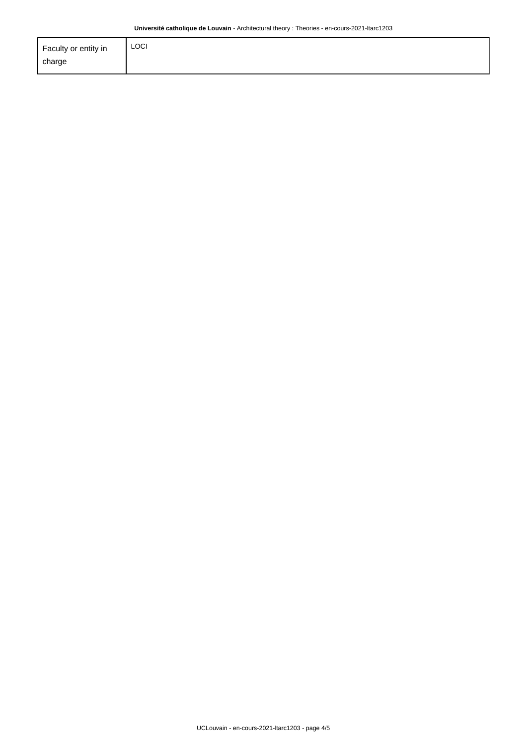| Faculty or entity in | <b>LOCI</b> |
|----------------------|-------------|
| charge               |             |